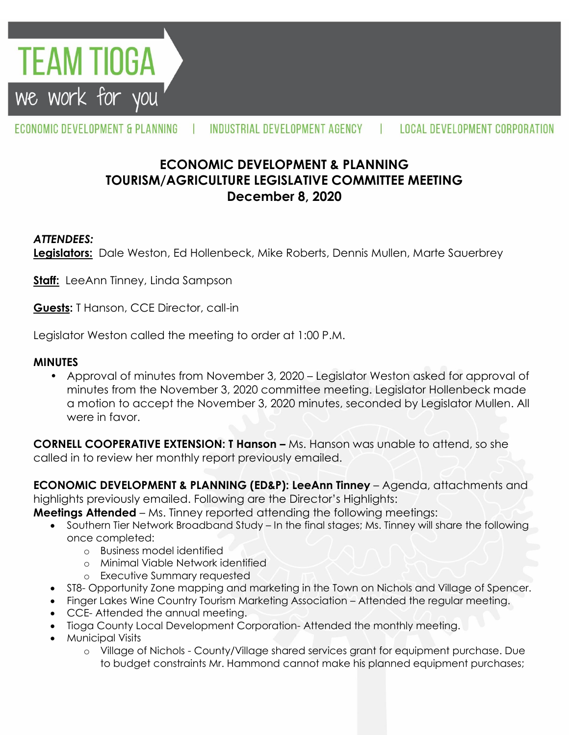

#### ECONOMIC DEVELOPMENT & PLANNING INDUSTRIAL DEVELOPMENT AGENCY **LOCAL DEVELOPMENT CORPORATION**

# **ECONOMIC DEVELOPMENT & PLANNING TOURISM/AGRICULTURE LEGISLATIVE COMMITTEE MEETING December 8, 2020**

### *ATTENDEES:*

**Legislators:** Dale Weston, Ed Hollenbeck, Mike Roberts, Dennis Mullen, Marte Sauerbrey

**Staff:** LeeAnn Tinney, Linda Sampson

**Guests:** T Hanson, CCE Director, call-in

Legislator Weston called the meeting to order at 1:00 P.M.

#### **MINUTES**

• Approval of minutes from November 3, 2020 – Legislator Weston asked for approval of minutes from the November 3, 2020 committee meeting. Legislator Hollenbeck made a motion to accept the November 3, 2020 minutes, seconded by Legislator Mullen. All were in favor.

**CORNELL COOPERATIVE EXTENSION: T Hanson –** Ms. Hanson was unable to attend, so she called in to review her monthly report previously emailed.

**ECONOMIC DEVELOPMENT & PLANNING (ED&P): LeeAnn Tinney** – Agenda, attachments and highlights previously emailed. Following are the Director's Highlights:

**Meetings Attended** – Ms. Tinney reported attending the following meetings:

- Southern Tier Network Broadband Study In the final stages; Ms. Tinney will share the following once completed:
	- o Business model identified
	- o Minimal Viable Network identified
	- o Executive Summary requested
- ST8- Opportunity Zone mapping and marketing in the Town on Nichols and Village of Spencer.
- Finger Lakes Wine Country Tourism Marketing Association Attended the regular meeting.
- CCE- Attended the annual meeting.
- Tioga County Local Development Corporation- Attended the monthly meeting.
- Municipal Visits
	- o Village of Nichols County/Village shared services grant for equipment purchase. Due to budget constraints Mr. Hammond cannot make his planned equipment purchases;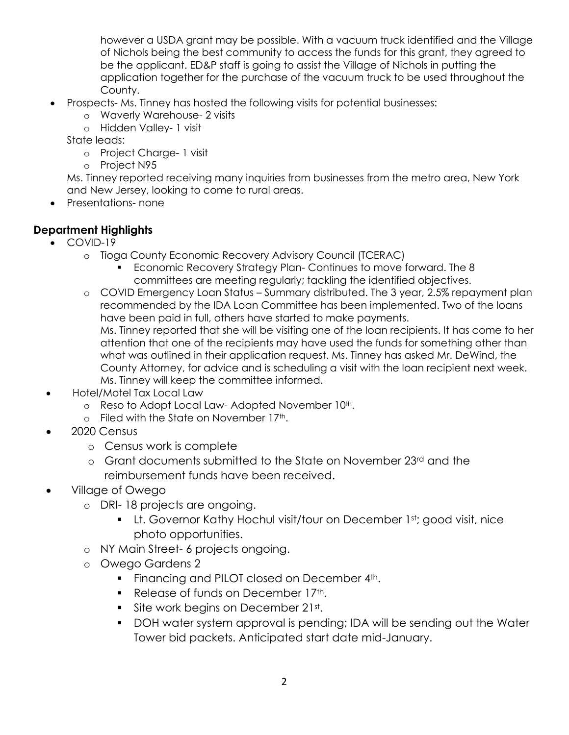however a USDA grant may be possible. With a vacuum truck identified and the Village of Nichols being the best community to access the funds for this grant, they agreed to be the applicant. ED&P staff is going to assist the Village of Nichols in putting the application together for the purchase of the vacuum truck to be used throughout the County.

- Prospects- Ms. Tinney has hosted the following visits for potential businesses:
	- o Waverly Warehouse- 2 visits
	- o Hidden Valley- 1 visit

State leads:

- o Project Charge- 1 visit
- o Project N95

Ms. Tinney reported receiving many inquiries from businesses from the metro area, New York and New Jersey, looking to come to rural areas.

• Presentations- none

### **Department Highlights**

- COVID-19
	- o Tioga County Economic Recovery Advisory Council (TCERAC)
		- Economic Recovery Strategy Plan- Continues to move forward. The 8 committees are meeting regularly; tackling the identified objectives.
	- o COVID Emergency Loan Status Summary distributed. The 3 year, 2.5% repayment plan recommended by the IDA Loan Committee has been implemented. Two of the loans have been paid in full, others have started to make payments. Ms. Tinney reported that she will be visiting one of the loan recipients. It has come to her attention that one of the recipients may have used the funds for something other than what was outlined in their application request. Ms. Tinney has asked Mr. DeWind, the County Attorney, for advice and is scheduling a visit with the loan recipient next week. Ms. Tinney will keep the committee informed.
- Hotel/Motel Tax Local Law
	- o Reso to Adopt Local Law-Adopted November 10th.
	- $\circ$  Filed with the State on November 17<sup>th</sup>.
- 2020 Census
	- o Census work is complete
	- o Grant documents submitted to the State on November 23rd and the reimbursement funds have been received.
- Village of Owego
	- o DRI- 18 projects are ongoing.
		- **Lt. Governor Kathy Hochul visit/tour on December 1st; good visit, nice** photo opportunities.
	- o NY Main Street- 6 projects ongoing.
	- o Owego Gardens 2
		- Financing and PILOT closed on December 4th.
		- Release of funds on December 17th.
		- **Site work begins on December 21st.**
		- DOH water system approval is pending; IDA will be sending out the Water Tower bid packets. Anticipated start date mid-January.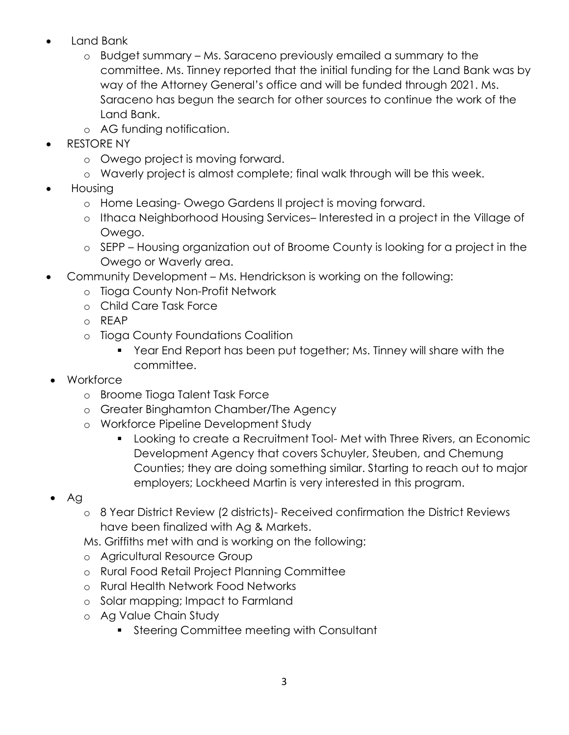- Land Bank
	- o Budget summary Ms. Saraceno previously emailed a summary to the committee. Ms. Tinney reported that the initial funding for the Land Bank was by way of the Attorney General's office and will be funded through 2021. Ms. Saraceno has begun the search for other sources to continue the work of the Land Bank.
	- o AG funding notification.
- RESTORE NY
	- o Owego project is moving forward.
	- o Waverly project is almost complete; final walk through will be this week.
- Housing
	- o Home Leasing- Owego Gardens ll project is moving forward.
	- o Ithaca Neighborhood Housing Services– Interested in a project in the Village of Owego.
	- o SEPP Housing organization out of Broome County is looking for a project in the Owego or Waverly area.
- Community Development Ms. Hendrickson is working on the following:
	- o Tioga County Non-Profit Network
	- o Child Care Task Force
	- o REAP
	- o Tioga County Foundations Coalition
		- Year End Report has been put together; Ms. Tinney will share with the committee.
- Workforce
	- o Broome Tioga Talent Task Force
	- o Greater Binghamton Chamber/The Agency
	- o Workforce Pipeline Development Study
		- Looking to create a Recruitment Tool- Met with Three Rivers, an Economic Development Agency that covers Schuyler, Steuben, and Chemung Counties; they are doing something similar. Starting to reach out to major employers; Lockheed Martin is very interested in this program.
- $\bullet$  Ag
	- o 8 Year District Review (2 districts)- Received confirmation the District Reviews have been finalized with Ag & Markets.

Ms. Griffiths met with and is working on the following:

- o Agricultural Resource Group
- o Rural Food Retail Project Planning Committee
- o Rural Health Network Food Networks
- o Solar mapping; Impact to Farmland
- o Ag Value Chain Study
	- **Steering Committee meeting with Consultant**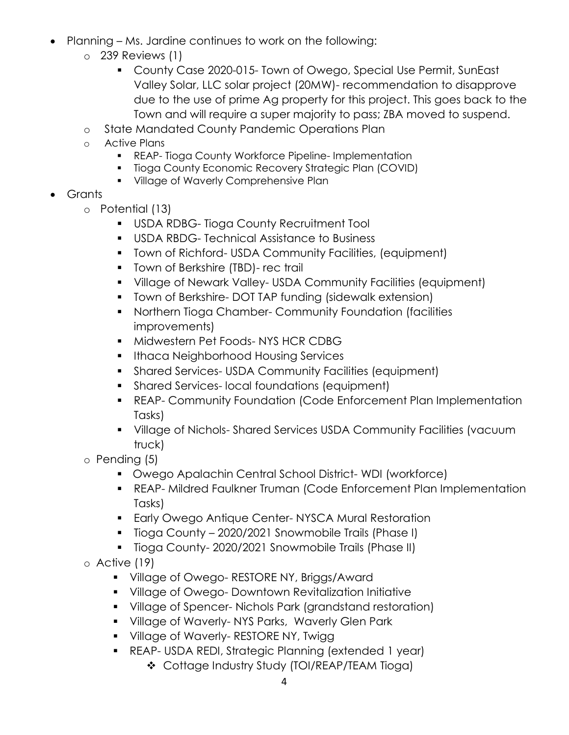- Planning Ms. Jardine continues to work on the following:
	- o 239 Reviews (1)
		- County Case 2020-015- Town of Owego, Special Use Permit, SunEast Valley Solar, LLC solar project (20MW)- recommendation to disapprove due to the use of prime Ag property for this project. This goes back to the Town and will require a super majority to pass; ZBA moved to suspend.
	- o State Mandated County Pandemic Operations Plan
	- o Active Plans
		- **REAP- Tioga County Workforce Pipeline- Implementation**
		- **Tioga County Economic Recovery Strategic Plan (COVID)**
		- **Village of Waverly Comprehensive Plan**
- Grants
	- o Potential (13)
		- USDA RDBG- Tioga County Recruitment Tool
		- USDA RBDG- Technical Assistance to Business
		- Town of Richford- USDA Community Facilities, (equipment)
		- **Town of Berkshire (TBD)- rec trail**
		- Village of Newark Valley- USDA Community Facilities (equipment)
		- **T** Town of Berkshire- DOT TAP funding (sidewalk extension)
		- **Northern Tioga Chamber- Community Foundation (facilities** improvements)
		- **Midwestern Pet Foods-NYS HCR CDBG**
		- **Ithaca Neighborhood Housing Services**
		- Shared Services- USDA Community Facilities (equipment)
		- **Shared Services- local foundations (equipment)**
		- REAP- Community Foundation (Code Enforcement Plan Implementation Tasks)
		- Village of Nichols- Shared Services USDA Community Facilities (vacuum truck)
	- o Pending (5)
		- Owego Apalachin Central School District- WDI (workforce)
		- REAP- Mildred Faulkner Truman (Code Enforcement Plan Implementation Tasks)
		- **Early Owego Antique Center- NYSCA Mural Restoration**
		- Tioga County 2020/2021 Snowmobile Trails (Phase I)
		- **Tioga County-2020/2021 Snowmobile Trails (Phase II)**
	- o Active (19)
		- **Village of Owego- RESTORE NY, Briggs/Award**
		- **Village of Owego- Downtown Revitalization Initiative**
		- Village of Spencer- Nichols Park (grandstand restoration)
		- **Village of Waverly-NYS Parks, Waverly Glen Park**
		- **Village of Waverly- RESTORE NY, Twigg 1**
		- REAP- USDA REDI, Strategic Planning (extended 1 year)
			- Cottage Industry Study (TOI/REAP/TEAM Tioga)